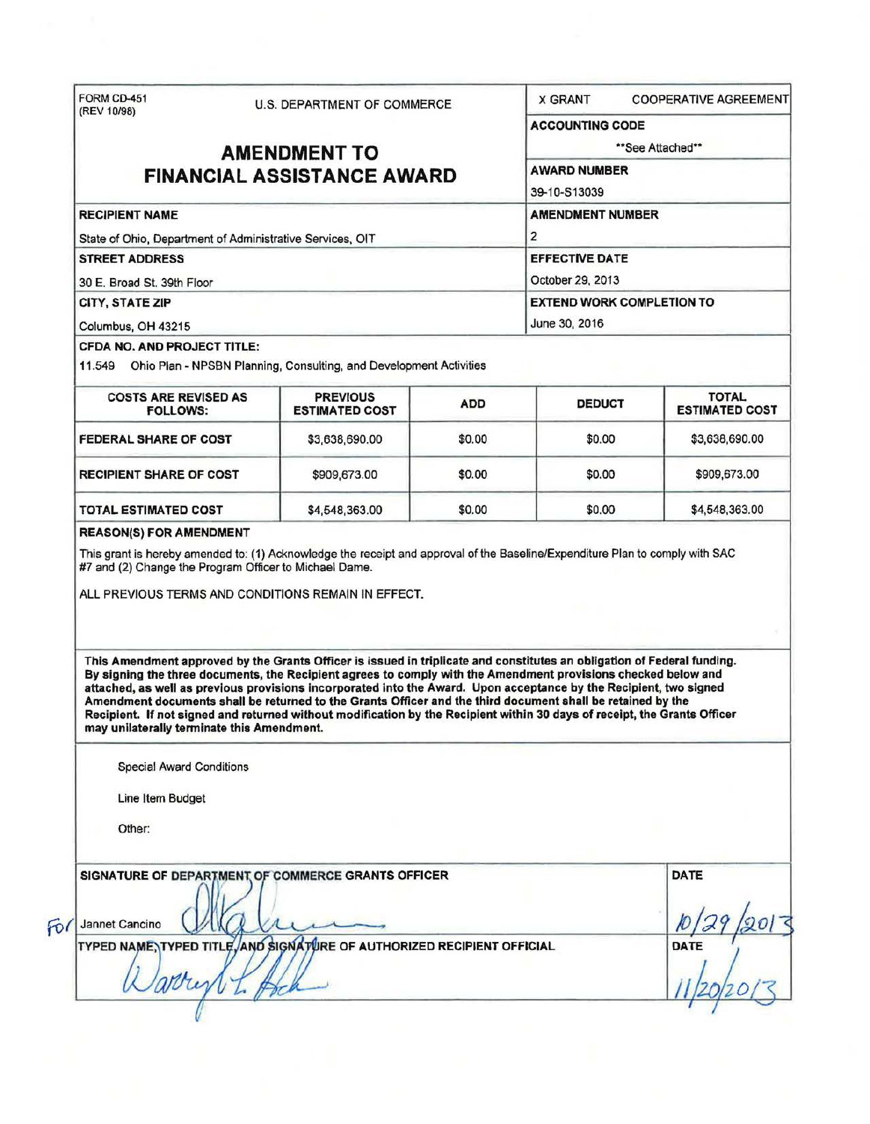|                                                                                                    | U.S. DEPARTMENT OF COMMERCE                                                                                                                                                                                                                                                                                                                                                                                                                                                                                                                                                                                 |            | <b>X GRANT</b>                                       | <b>COOPERATIVE AGREEMENT</b>          |  |
|----------------------------------------------------------------------------------------------------|-------------------------------------------------------------------------------------------------------------------------------------------------------------------------------------------------------------------------------------------------------------------------------------------------------------------------------------------------------------------------------------------------------------------------------------------------------------------------------------------------------------------------------------------------------------------------------------------------------------|------------|------------------------------------------------------|---------------------------------------|--|
|                                                                                                    |                                                                                                                                                                                                                                                                                                                                                                                                                                                                                                                                                                                                             |            | <b>ACCOUNTING CODE</b>                               |                                       |  |
| <b>AMENDMENT TO</b>                                                                                |                                                                                                                                                                                                                                                                                                                                                                                                                                                                                                                                                                                                             |            | **See Attached**                                     |                                       |  |
| <b>FINANCIAL ASSISTANCE AWARD</b>                                                                  |                                                                                                                                                                                                                                                                                                                                                                                                                                                                                                                                                                                                             |            | <b>AWARD NUMBER</b>                                  |                                       |  |
|                                                                                                    |                                                                                                                                                                                                                                                                                                                                                                                                                                                                                                                                                                                                             |            | 39-10-S13039                                         |                                       |  |
| <b>RECIPIENT NAME</b>                                                                              |                                                                                                                                                                                                                                                                                                                                                                                                                                                                                                                                                                                                             |            | <b>AMENDMENT NUMBER</b>                              |                                       |  |
| State of Ohio, Department of Administrative Services, OIT                                          |                                                                                                                                                                                                                                                                                                                                                                                                                                                                                                                                                                                                             |            | $\overline{2}$                                       |                                       |  |
| <b>STREET ADDRESS</b>                                                                              |                                                                                                                                                                                                                                                                                                                                                                                                                                                                                                                                                                                                             |            | <b>EFFECTIVE DATE</b>                                |                                       |  |
| 30 E. Broad St. 39th Floor                                                                         |                                                                                                                                                                                                                                                                                                                                                                                                                                                                                                                                                                                                             |            | October 29, 2013<br><b>EXTEND WORK COMPLETION TO</b> |                                       |  |
| CITY, STATE ZIP                                                                                    |                                                                                                                                                                                                                                                                                                                                                                                                                                                                                                                                                                                                             |            |                                                      |                                       |  |
| Columbus, OH 43215                                                                                 |                                                                                                                                                                                                                                                                                                                                                                                                                                                                                                                                                                                                             |            | June 30, 2016                                        |                                       |  |
| <b>CFDA NO. AND PROJECT TITLE:</b>                                                                 |                                                                                                                                                                                                                                                                                                                                                                                                                                                                                                                                                                                                             |            |                                                      |                                       |  |
|                                                                                                    | 11.549 Ohio Plan - NPSBN Planning, Consulting, and Development Activities                                                                                                                                                                                                                                                                                                                                                                                                                                                                                                                                   |            |                                                      |                                       |  |
| <b>COSTS ARE REVISED AS</b><br><b>FOLLOWS:</b>                                                     | <b>PREVIOUS</b><br><b>ESTIMATED COST</b>                                                                                                                                                                                                                                                                                                                                                                                                                                                                                                                                                                    | <b>ADD</b> | <b>DEDUCT</b>                                        | <b>TOTAL</b><br><b>ESTIMATED COST</b> |  |
| <b>FEDERAL SHARE OF COST</b>                                                                       | \$3,638,690.00                                                                                                                                                                                                                                                                                                                                                                                                                                                                                                                                                                                              | \$0.00     | \$0.00                                               | \$3,638,690.00                        |  |
| <b>RECIPIENT SHARE OF COST</b>                                                                     | \$909,673.00                                                                                                                                                                                                                                                                                                                                                                                                                                                                                                                                                                                                | \$0.00     | \$0.00                                               | \$909,673.00                          |  |
|                                                                                                    |                                                                                                                                                                                                                                                                                                                                                                                                                                                                                                                                                                                                             |            |                                                      |                                       |  |
| <b>TOTAL ESTIMATED COST</b>                                                                        | \$4,548,363.00                                                                                                                                                                                                                                                                                                                                                                                                                                                                                                                                                                                              | \$0.00     | \$0.00                                               | \$4,548,363.00                        |  |
|                                                                                                    | This grant is hereby amended to: (1) Acknowledge the receipt and approval of the Baseline/Expenditure Plan to comply with SAC<br>ALL PREVIOUS TERMS AND CONDITIONS REMAIN IN EFFECT.                                                                                                                                                                                                                                                                                                                                                                                                                        |            |                                                      |                                       |  |
| may unilaterally terminate this Amendment.<br><b>Special Award Conditions</b>                      | This Amendment approved by the Grants Officer is issued in triplicate and constitutes an obligation of Federal funding.<br>By signing the three documents, the Recipient agrees to comply with the Amendment provisions checked below and<br>attached, as well as previous provisions incorporated into the Award. Upon acceptance by the Recipient, two signed<br>Amendment documents shall be returned to the Grants Officer and the third document shall be retained by the<br>Recipient. If not signed and returned without modification by the Recipient within 30 days of receipt, the Grants Officer |            |                                                      |                                       |  |
| Line Item Budget                                                                                   |                                                                                                                                                                                                                                                                                                                                                                                                                                                                                                                                                                                                             |            |                                                      |                                       |  |
| <b>REASON(S) FOR AMENDMENT</b><br>#7 and (2) Change the Program Officer to Michael Dame.<br>Other: |                                                                                                                                                                                                                                                                                                                                                                                                                                                                                                                                                                                                             |            |                                                      |                                       |  |
|                                                                                                    | SIGNATURE OF DEPARTMENT OF COMMERCE GRANTS OFFICER                                                                                                                                                                                                                                                                                                                                                                                                                                                                                                                                                          |            |                                                      | <b>DATE</b>                           |  |
| Jannet Cancino                                                                                     |                                                                                                                                                                                                                                                                                                                                                                                                                                                                                                                                                                                                             |            |                                                      |                                       |  |
|                                                                                                    | TYPED NAME, TYPED TITLE, AND SIGNATURE OF AUTHORIZED RECIPIENT OFFICIAL                                                                                                                                                                                                                                                                                                                                                                                                                                                                                                                                     |            |                                                      | DATE                                  |  |